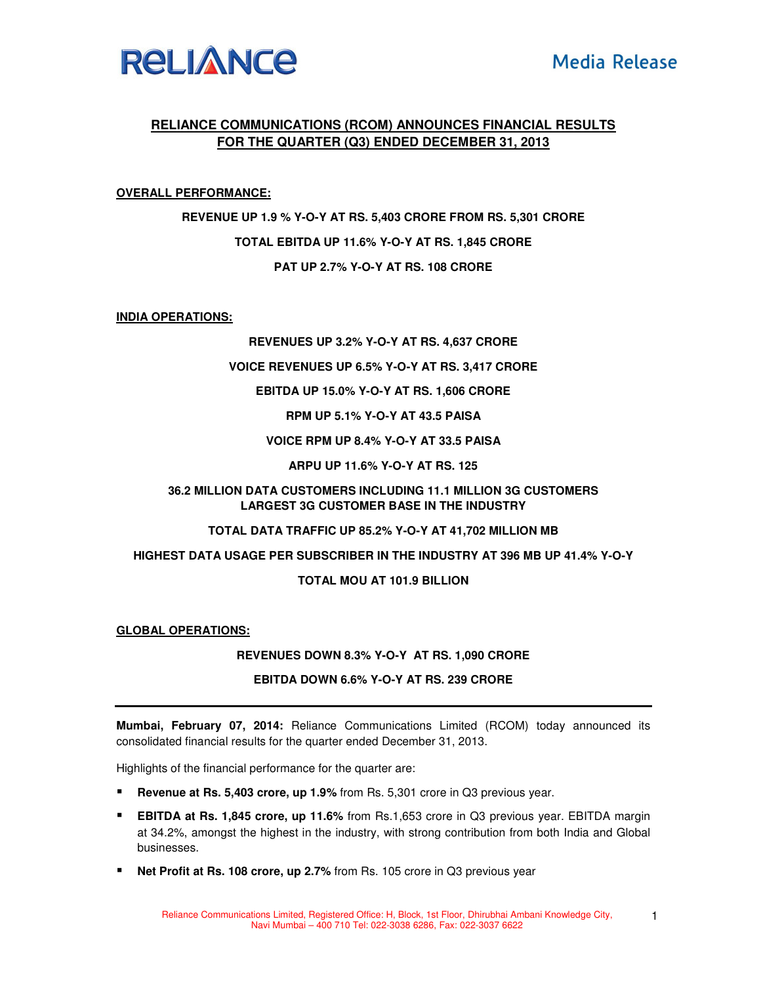

# **RELIANCE COMMUNICATIONS (RCOM) ANNOUNCES FINANCIAL RESULTS FOR THE QUARTER (Q3) ENDED DECEMBER 31, 2013**

## **OVERALL PERFORMANCE:**

**REVENUE UP 1.9 % Y-O-Y AT RS. 5,403 CRORE FROM RS. 5,301 CRORE TOTAL EBITDA UP 11.6% Y-O-Y AT RS. 1,845 CRORE PAT UP 2.7% Y-O-Y AT RS. 108 CRORE** 

**INDIA OPERATIONS:**

### **REVENUES UP 3.2% Y-O-Y AT RS. 4,637 CRORE**

#### **VOICE REVENUES UP 6.5% Y-O-Y AT RS. 3,417 CRORE**

### **EBITDA UP 15.0% Y-O-Y AT RS. 1,606 CRORE**

**RPM UP 5.1% Y-O-Y AT 43.5 PAISA** 

**VOICE RPM UP 8.4% Y-O-Y AT 33.5 PAISA** 

**ARPU UP 11.6% Y-O-Y AT RS. 125** 

# **36.2 MILLION DATA CUSTOMERS INCLUDING 11.1 MILLION 3G CUSTOMERS LARGEST 3G CUSTOMER BASE IN THE INDUSTRY**

#### **TOTAL DATA TRAFFIC UP 85.2% Y-O-Y AT 41,702 MILLION MB**

#### **HIGHEST DATA USAGE PER SUBSCRIBER IN THE INDUSTRY AT 396 MB UP 41.4% Y-O-Y**

## **TOTAL MOU AT 101.9 BILLION**

#### **GLOBAL OPERATIONS:**

#### **REVENUES DOWN 8.3% Y-O-Y AT RS. 1,090 CRORE**

## **EBITDA DOWN 6.6% Y-O-Y AT RS. 239 CRORE**

**Mumbai, February 07, 2014:** Reliance Communications Limited (RCOM) today announced its consolidated financial results for the quarter ended December 31, 2013.

Highlights of the financial performance for the quarter are:

- **Revenue at Rs. 5,403 crore, up 1.9%** from Rs. 5,301 crore in Q3 previous year.
- **EBITDA at Rs. 1,845 crore, up 11.6%** from Rs.1,653 crore in Q3 previous year. EBITDA margin at 34.2%, amongst the highest in the industry, with strong contribution from both India and Global businesses.
- **Net Profit at Rs. 108 crore, up 2.7%** from Rs. 105 crore in Q3 previous year

1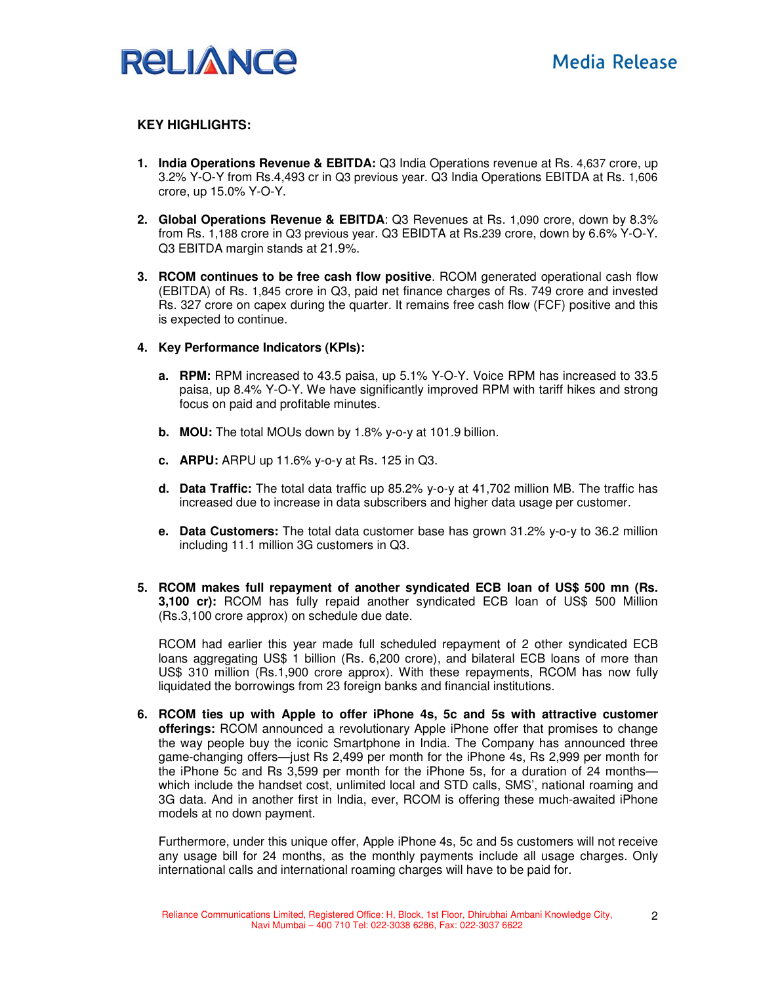

# **KEY HIGHLIGHTS:**

- **1. India Operations Revenue & EBITDA:** Q3 India Operations revenue at Rs. 4,637 crore, up 3.2% Y-O-Y from Rs.4,493 cr in Q3 previous year. Q3 India Operations EBITDA at Rs. 1,606 crore, up 15.0% Y-O-Y.
- **2. Global Operations Revenue & EBITDA**: Q3 Revenues at Rs. 1,090 crore, down by 8.3% from Rs. 1,188 crore in Q3 previous year. Q3 EBIDTA at Rs.239 crore, down by 6.6% Y-O-Y. Q3 EBITDA margin stands at 21.9%.
- **3. RCOM continues to be free cash flow positive**. RCOM generated operational cash flow (EBITDA) of Rs. 1,845 crore in Q3, paid net finance charges of Rs. 749 crore and invested Rs. 327 crore on capex during the quarter. It remains free cash flow (FCF) positive and this is expected to continue.
- **4. Key Performance Indicators (KPIs):** 
	- **a. RPM:** RPM increased to 43.5 paisa, up 5.1% Y-O-Y. Voice RPM has increased to 33.5 paisa, up 8.4% Y-O-Y. We have significantly improved RPM with tariff hikes and strong focus on paid and profitable minutes.
	- **b. MOU:** The total MOUs down by 1.8% y-o-y at 101.9 billion.
	- **c. ARPU:** ARPU up 11.6% y-o-y at Rs. 125 in Q3.
	- **d. Data Traffic:** The total data traffic up 85.2% y-o-y at 41,702 million MB. The traffic has increased due to increase in data subscribers and higher data usage per customer.
	- **e. Data Customers:** The total data customer base has grown 31.2% y-o-y to 36.2 million including 11.1 million 3G customers in Q3.
- **5. RCOM makes full repayment of another syndicated ECB loan of US\$ 500 mn (Rs. 3,100 cr):** RCOM has fully repaid another syndicated ECB loan of US\$ 500 Million (Rs.3,100 crore approx) on schedule due date.

RCOM had earlier this year made full scheduled repayment of 2 other syndicated ECB loans aggregating US\$ 1 billion (Rs. 6,200 crore), and bilateral ECB loans of more than US\$ 310 million (Rs.1,900 crore approx). With these repayments, RCOM has now fully liquidated the borrowings from 23 foreign banks and financial institutions.

**6. RCOM ties up with Apple to offer iPhone 4s, 5c and 5s with attractive customer offerings:** RCOM announced a revolutionary Apple iPhone offer that promises to change the way people buy the iconic Smartphone in India. The Company has announced three game-changing offers—just Rs 2,499 per month for the iPhone 4s, Rs 2,999 per month for the iPhone 5c and Rs 3,599 per month for the iPhone 5s, for a duration of 24 months which include the handset cost, unlimited local and STD calls, SMS', national roaming and 3G data. And in another first in India, ever, RCOM is offering these much-awaited iPhone models at no down payment.

Furthermore, under this unique offer, Apple iPhone 4s, 5c and 5s customers will not receive any usage bill for 24 months, as the monthly payments include all usage charges. Only international calls and international roaming charges will have to be paid for.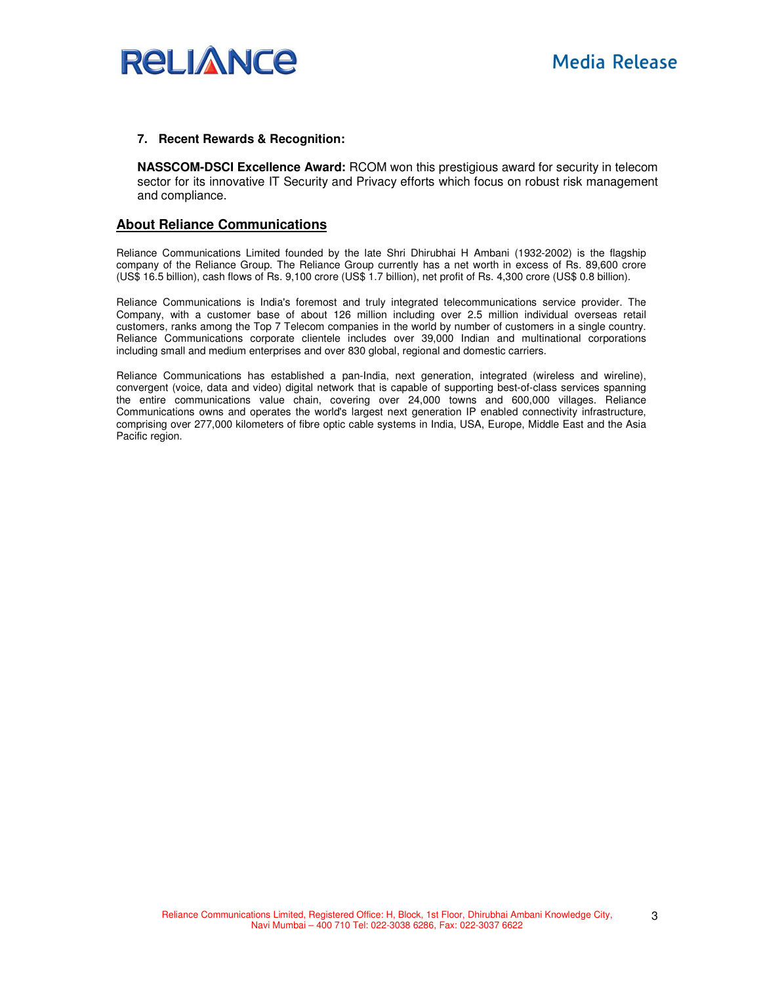

### **7. Recent Rewards & Recognition:**

**NASSCOM-DSCI Excellence Award:** RCOM won this prestigious award for security in telecom sector for its innovative IT Security and Privacy efforts which focus on robust risk management and compliance.

# **About Reliance Communications**

Reliance Communications Limited founded by the late Shri Dhirubhai H Ambani (1932-2002) is the flagship company of the Reliance Group. The Reliance Group currently has a net worth in excess of Rs. 89,600 crore (US\$ 16.5 billion), cash flows of Rs. 9,100 crore (US\$ 1.7 billion), net profit of Rs. 4,300 crore (US\$ 0.8 billion).

Reliance Communications is India's foremost and truly integrated telecommunications service provider. The Company, with a customer base of about 126 million including over 2.5 million individual overseas retail customers, ranks among the Top 7 Telecom companies in the world by number of customers in a single country. Reliance Communications corporate clientele includes over 39,000 Indian and multinational corporations including small and medium enterprises and over 830 global, regional and domestic carriers.

Reliance Communications has established a pan-India, next generation, integrated (wireless and wireline), convergent (voice, data and video) digital network that is capable of supporting best-of-class services spanning the entire communications value chain, covering over 24,000 towns and 600,000 villages. Reliance Communications owns and operates the world's largest next generation IP enabled connectivity infrastructure, comprising over 277,000 kilometers of fibre optic cable systems in India, USA, Europe, Middle East and the Asia Pacific region.

3